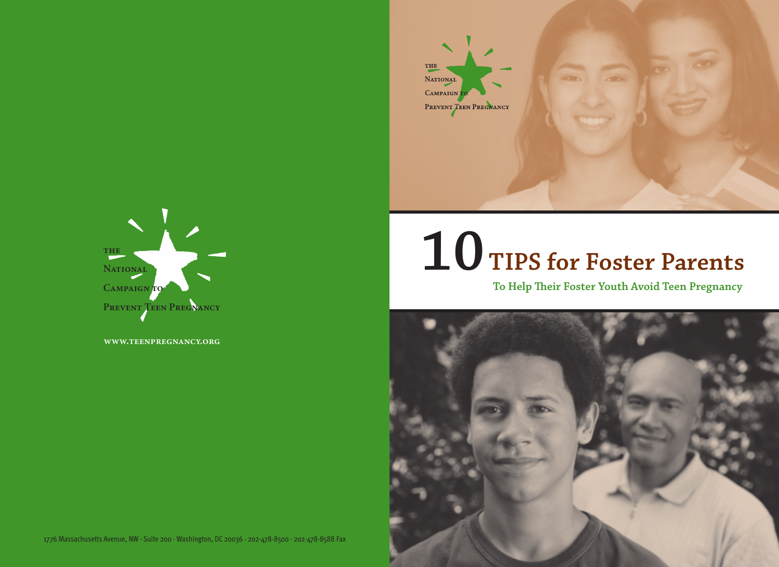



**www.teenpregnancy.org**

## **10 TIPS for Foster Parents**

**To Help Their Foster Youth Avoid Teen Pregnancy**

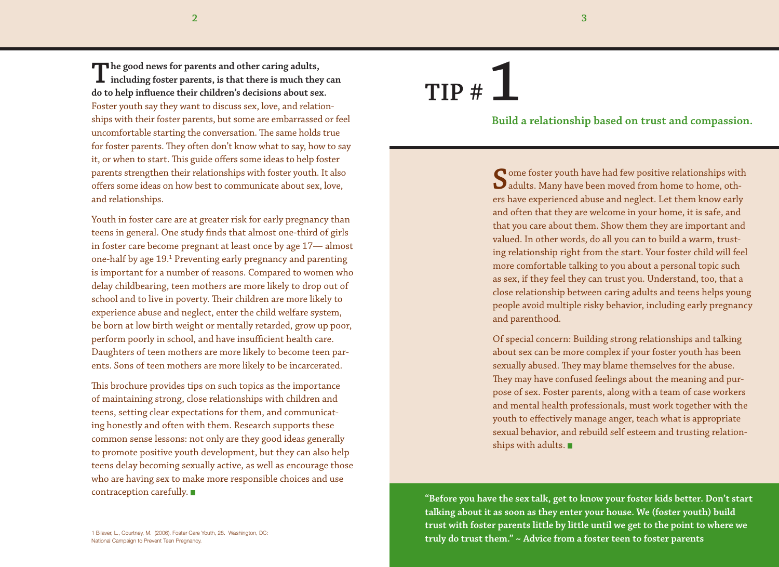The good news for parents and other caring adults, **including foster parents, is that there is much they can do to help influence their children's decisions about sex.** Foster youth say they want to discuss sex, love, and relationships with their foster parents, but some are embarrassed or feel uncomfortable starting the conversation. The same holds true for foster parents. They often don't know what to say, how to say it, or when to start. This guide offers some ideas to help foster parents strengthen their relationships with foster youth. It also offers some ideas on how best to communicate about sex, love, and relationships.

Youth in foster care are at greater risk for early pregnancy than teens in general. One study finds that almost one-third of girls in foster care become pregnant at least once by age 17— almost one-half by age 19.<sup>1</sup> Preventing early pregnancy and parenting is important for a number of reasons. Compared to women who delay childbearing, teen mothers are more likely to drop out of school and to live in poverty. Their children are more likely to experience abuse and neglect, enter the child welfare system, be born at low birth weight or mentally retarded, grow up poor, perform poorly in school, and have insufficient health care. Daughters of teen mothers are more likely to become teen parents. Sons of teen mothers are more likely to be incarcerated.

This brochure provides tips on such topics as the importance of maintaining strong, close relationships with children and teens, setting clear expectations for them, and communicating honestly and often with them. Research supports these common sense lessons: not only are they good ideas generally to promote positive youth development, but they can also help teens delay becoming sexually active, as well as encourage those who are having sex to make more responsible choices and use contraception carefully.

#### **TIP # 1**

**Build a relationship based on trust and compassion.**

Some foster youth have had few positive relationships with adults. Many have been moved from home to home, others have experienced abuse and neglect. Let them know early and often that they are welcome in your home, it is safe, and that you care about them. Show them they are important and valued. In other words, do all you can to build a warm, trusting relationship right from the start. Your foster child will feel more comfortable talking to you about a personal topic such as sex, if they feel they can trust you. Understand, too, that a close relationship between caring adults and teens helps young people avoid multiple risky behavior, including early pregnancy and parenthood.

Of special concern: Building strong relationships and talking about sex can be more complex if your foster youth has been sexually abused. They may blame themselves for the abuse. They may have confused feelings about the meaning and purpose of sex. Foster parents, along with a team of case workers and mental health professionals, must work together with the youth to effectively manage anger, teach what is appropriate sexual behavior, and rebuild self esteem and trusting relationships with adults.

**"Before you have the sex talk, get to know your foster kids better. Don't start talking about it as soon as they enter your house. We (foster youth) build trust with foster parents little by little until we get to the point to where we truly do trust them." ~ Advice from a foster teen to foster parents**

1 Bilaver, L., Courtney, M. (2006). Foster Care Youth, 28. Washington, DC: National Campaign to Prevent Teen Pregnancy.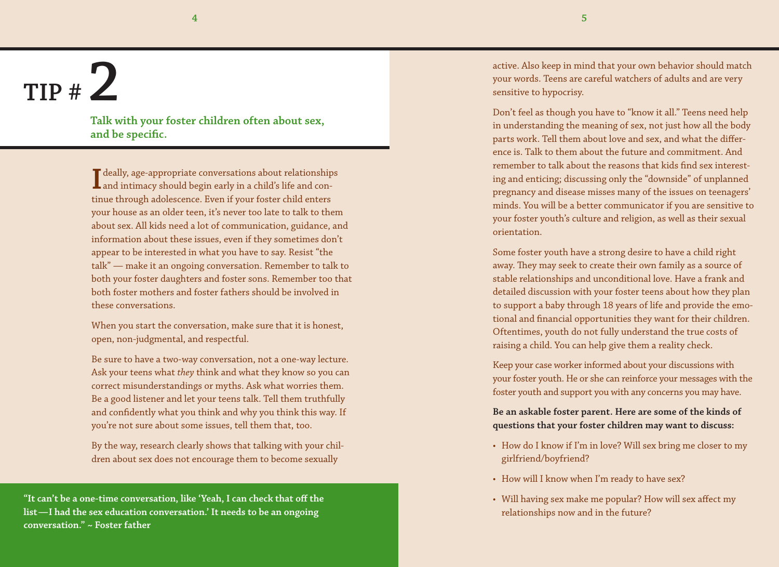**Talk with your foster children often about sex, and be specific.**

I deally, age-appropriate conversations about relationships<br>and intimacy should begin early in a child's life and con-**L** and intimacy should begin early in a child's life and continue through adolescence. Even if your foster child enters your house as an older teen, it's never too late to talk to them about sex. All kids need a lot of communication, guidance, and information about these issues, even if they sometimes don't appear to be interested in what you have to say. Resist "the talk" — make it an ongoing conversation. Remember to talk to both your foster daughters and foster sons. Remember too that both foster mothers and foster fathers should be involved in these conversations.

When you start the conversation, make sure that it is honest, open, non-judgmental, and respectful.

Be sure to have a two-way conversation, not a one-way lecture. Ask your teens what *they* think and what they know so you can correct misunderstandings or myths. Ask what worries them. Be a good listener and let your teens talk. Tell them truthfully and confidently what you think and why you think this way. If you're not sure about some issues, tell them that, too.

By the way, research clearly shows that talking with your children about sex does not encourage them to become sexually

**"It can't be a one-time conversation, like 'Yeah, I can check that off the list—I had the sex education conversation.' It needs to be an ongoing conversation." ~ Foster father**

active. Also keep in mind that your own behavior should match your words. Teens are careful watchers of adults and are very sensitive to hypocrisy.

Don't feel as though you have to "know it all." Teens need help in understanding the meaning of sex, not just how all the body parts work. Tell them about love and sex, and what the difference is. Talk to them about the future and commitment. And remember to talk about the reasons that kids find sex interesting and enticing; discussing only the "downside" of unplanned pregnancy and disease misses many of the issues on teenagers' minds. You will be a better communicator if you are sensitive to your foster youth's culture and religion, as well as their sexual orientation.

Some foster youth have a strong desire to have a child right away. They may seek to create their own family as a source of stable relationships and unconditional love. Have a frank and detailed discussion with your foster teens about how they plan to support a baby through 18 years of life and provide the emotional and financial opportunities they want for their children. Oftentimes, youth do not fully understand the true costs of raising a child. You can help give them a reality check.

Keep your case worker informed about your discussions with your foster youth. He or she can reinforce your messages with the foster youth and support you with any concerns you may have.

#### **Be an askable foster parent. Here are some of the kinds of questions that your foster children may want to discuss:**

- How do I know if I'm in love? Will sex bring me closer to my girlfriend/boyfriend?
- How will I know when I'm ready to have sex?
- Will having sex make me popular? How will sex affect my relationships now and in the future?

**4 5**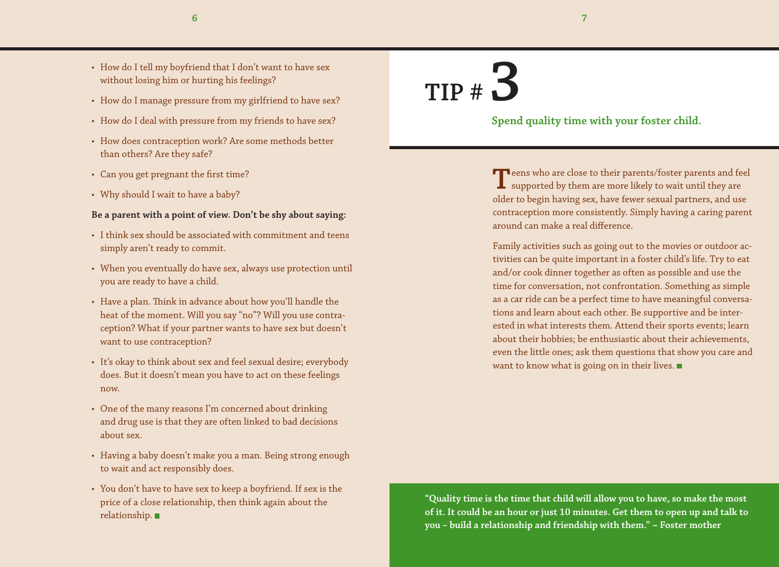- **6 7**
- How do I tell my boyfriend that I don't want to have sex without losing him or hurting his feelings?
- How do I manage pressure from my girlfriend to have sex?
- How do I deal with pressure from my friends to have sex?
- How does contraception work? Are some methods better than others? Are they safe?
- Can you get pregnant the first time?
- Why should I wait to have a baby?

#### **Be a parent with a point of view. Don't be shy about saying:**

- I think sex should be associated with commitment and teens simply aren't ready to commit.
- When you eventually do have sex, always use protection until you are ready to have a child.
- Have a plan. Think in advance about how you'll handle the heat of the moment. Will you say "no"? Will you use contraception? What if your partner wants to have sex but doesn't want to use contraception?
- It's okay to think about sex and feel sexual desire; everybody does. But it doesn't mean you have to act on these feelings now.
- One of the many reasons I'm concerned about drinking and drug use is that they are often linked to bad decisions about sex.
- Having a baby doesn't make you a man. Being strong enough to wait and act responsibly does.
- You don't have to have sex to keep a boyfriend. If sex is the price of a close relationship, then think again about the relationship.

### **TIP # 3**

#### **Spend quality time with your foster child.**

**T**eens who are close to their parents/foster parents and feel supported by them are more likely to wait until they are older to begin having sex, have fewer sexual partners, and use contraception more consistently. Simply having a caring parent around can make a real difference.

Family activities such as going out to the movies or outdoor activities can be quite important in a foster child's life. Try to eat and/or cook dinner together as often as possible and use the time for conversation, not confrontation. Something as simple as a car ride can be a perfect time to have meaningful conversations and learn about each other. Be supportive and be interested in what interests them. Attend their sports events; learn about their hobbies; be enthusiastic about their achievements, even the little ones; ask them questions that show you care and want to know what is going on in their lives.

**"Quality time is the time that child will allow you to have, so make the most of it. It could be an hour or just 10 minutes. Get them to open up and talk to you – build a relationship and friendship with them." ~ Foster mother**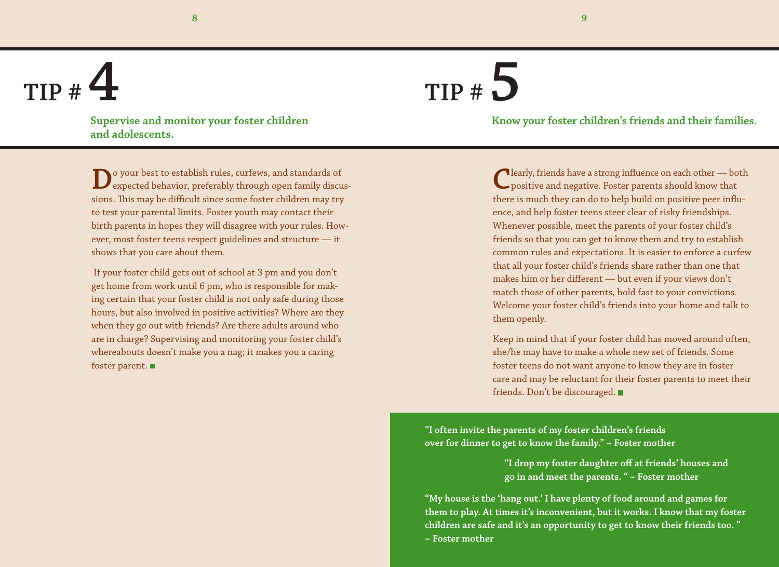**Supervise and monitor your foster children and adolescents.**

**D**<sup>o</sup> your best to establish rules, curfews, and standards of expected behavior, preferably through open family discussions. This may be difficult since some foster children may try to test your parental limits. Foster youth may contact their birth parents in hopes they will disagree with your rules. However, most foster teens respect guidelines and structure — it shows that you care about them.

 If your foster child gets out of school at 3 pm and you don't get home from work until 6 pm, who is responsible for making certain that your foster child is not only safe during those hours, but also involved in positive activities? Where are they when they go out with friends? Are there adults around who are in charge? Supervising and monitoring your foster child's whereabouts doesn't make you a nag; it makes you a caring foster parent.

## **TIP # 5**

**Know your foster children's friends and their families.**

**C**learly, friends have a strong influence on each other — both positive and negative. Foster parents should know that there is much they can do to help build on positive peer influence, and help foster teens steer clear of risky friendships. Whenever possible, meet the parents of your foster child's friends so that you can get to know them and try to establish common rules and expectations. It is easier to enforce a curfew that all your foster child's friends share rather than one that makes him or her different — but even if your views don't match those of other parents, hold fast to your convictions. Welcome your foster child's friends into your home and talk to them openly.

Keep in mind that if your foster child has moved around often, she/he may have to make a whole new set of friends. Some foster teens do not want anyone to know they are in foster care and may be reluctant for their foster parents to meet their friends. Don't be discouraged.

**"I often invite the parents of my foster children's friends over for dinner to get to know the family." ~ Foster mother**

> **"I drop my foster daughter off at friends' houses and go in and meet the parents. " ~ Foster mother**

**"My house is the 'hang out.' I have plenty of food around and games for them to play. At times it's inconvenient, but it works. I know that my foster children are safe and it's an opportunity to get to know their friends too. " ~ Foster mother**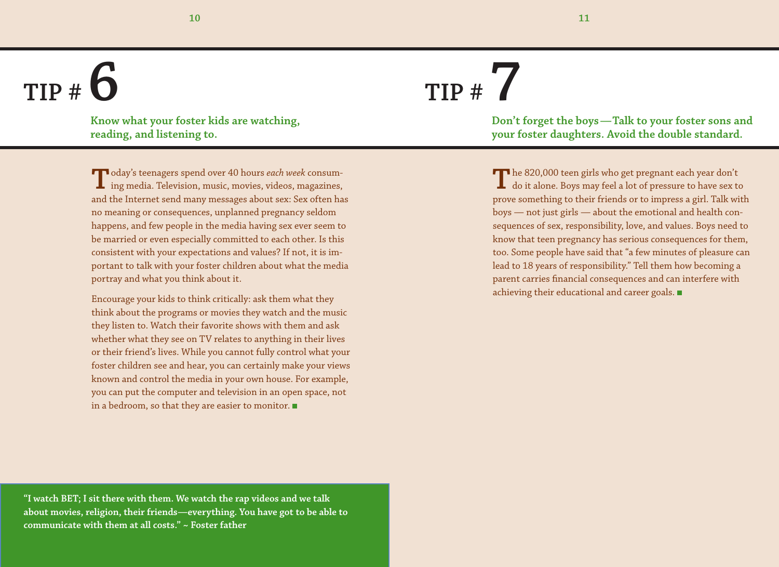**Know what your foster kids are watching, reading, and listening to.**

**T**oday's teenagers spend over 40 hours *each week* consum-ing media. Television, music, movies, videos, magazines, and the Internet send many messages about sex: Sex often has no meaning or consequences, unplanned pregnancy seldom happens, and few people in the media having sex ever seem to be married or even especially committed to each other. Is this consistent with your expectations and values? If not, it is important to talk with your foster children about what the media portray and what you think about it.

Encourage your kids to think critically: ask them what they think about the programs or movies they watch and the music they listen to. Watch their favorite shows with them and ask whether what they see on TV relates to anything in their lives or their friend's lives. While you cannot fully control what your foster children see and hear, you can certainly make your views known and control the media in your own house. For example, you can put the computer and television in an open space, not in a bedroom, so that they are easier to monitor.

## **TIP # 7**

**Don't forget the boys—Talk to your foster sons and your foster daughters. Avoid the double standard.** 

The 820,000 teen girls who get pregnant each year don't  $\perp$  do it alone. Boys may feel a lot of pressure to have sex to prove something to their friends or to impress a girl. Talk with boys — not just girls — about the emotional and health consequences of sex, responsibility, love, and values. Boys need to know that teen pregnancy has serious consequences for them, too. Some people have said that "a few minutes of pleasure can lead to 18 years of responsibility." Tell them how becoming a parent carries financial consequences and can interfere with achieving their educational and career goals.

**"I watch BET; I sit there with them. We watch the rap videos and we talk about movies, religion, their friends—everything. You have got to be able to communicate with them at all costs." ~ Foster father**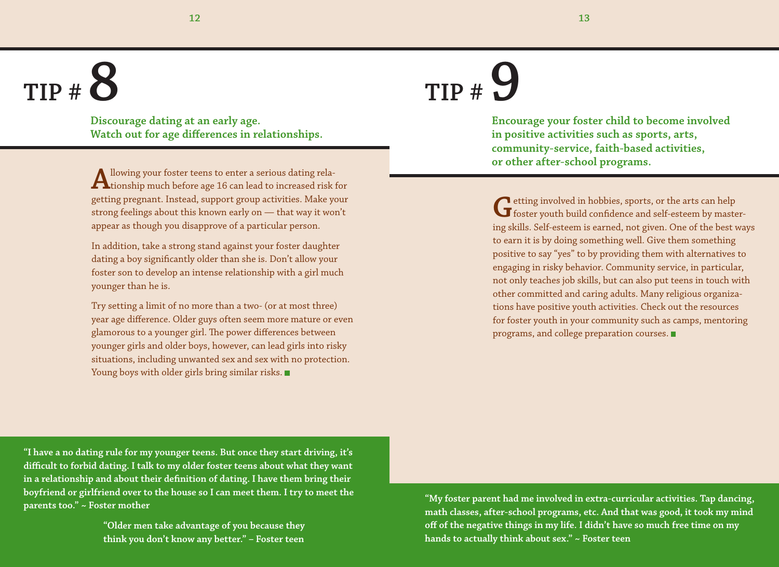**Discourage dating at an early age. Watch out for age differences in relationships.**

Allowing your foster teens to enter a serious dating rela-<br>tionship much before age 16 can lead to increased risk for getting pregnant. Instead, support group activities. Make your strong feelings about this known early on — that way it won't appear as though you disapprove of a particular person.

In addition, take a strong stand against your foster daughter dating a boy significantly older than she is. Don't allow your foster son to develop an intense relationship with a girl much younger than he is.

Try setting a limit of no more than a two- (or at most three) year age difference. Older guys often seem more mature or even glamorous to a younger girl. The power differences between younger girls and older boys, however, can lead girls into risky situations, including unwanted sex and sex with no protection. Young boys with older girls bring similar risks.

## **TIP # 9**

**Encourage your foster child to become involved in positive activities such as sports, arts, community-service, faith-based activities, or other after-school programs.**

Getting involved in hobbies, sports, or the arts can help<br>foster youth build confidence and self-esteem by mastering skills. Self-esteem is earned, not given. One of the best ways to earn it is by doing something well. Give them something positive to say "yes" to by providing them with alternatives to engaging in risky behavior. Community service, in particular, not only teaches job skills, but can also put teens in touch with other committed and caring adults. Many religious organizations have positive youth activities. Check out the resources for foster youth in your community such as camps, mentoring programs, and college preparation courses.

**"I have a no dating rule for my younger teens. But once they start driving, it's difficult to forbid dating. I talk to my older foster teens about what they want in a relationship and about their definition of dating. I have them bring their boyfriend or girlfriend over to the house so I can meet them. I try to meet the parents too." ~ Foster mother**

> **"Older men take advantage of you because they think you don't know any better." – Foster teen**

**"My foster parent had me involved in extra-curricular activities. Tap dancing, math classes, after-school programs, etc. And that was good, it took my mind off of the negative things in my life. I didn't have so much free time on my hands to actually think about sex." ~ Foster teen**